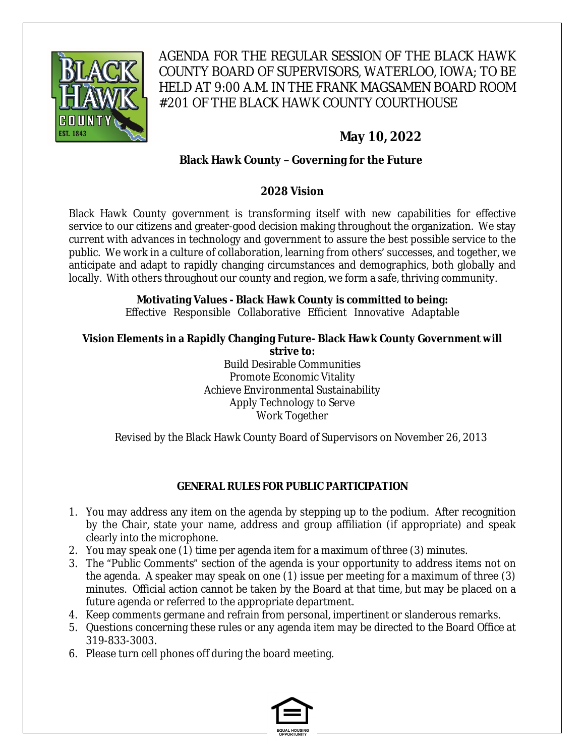

AGENDA FOR THE REGULAR SESSION OF THE BLACK HAWK COUNTY BOARD OF SUPERVISORS, WATERLOO, IOWA; TO BE HELD AT 9:00 A.M. IN THE FRANK MAGSAMEN BOARD ROOM #201 OF THE BLACK HAWK COUNTY COURTHOUSE

# **May 10, 2022**

#### **Black Hawk County – Governing for the Future**

#### **2028 Vision**

Black Hawk County government is transforming itself with new capabilities for effective service to our citizens and greater-good decision making throughout the organization. We stay current with advances in technology and government to assure the best possible service to the public. We work in a culture of collaboration, learning from others' successes, and together, we anticipate and adapt to rapidly changing circumstances and demographics, both globally and locally. With others throughout our county and region, we form a safe, thriving community.

# **Motivating Values - Black Hawk County is committed to being:**

Effective Responsible Collaborative Efficient Innovative Adaptable

#### **Vision Elements in a Rapidly Changing Future- Black Hawk County Government will strive to:**

Build Desirable Communities Promote Economic Vitality Achieve Environmental Sustainability Apply Technology to Serve Work Together

Revised by the Black Hawk County Board of Supervisors on November 26, 2013

#### **GENERAL RULES FOR PUBLIC PARTICIPATION**

- 1. You may address any item on the agenda by stepping up to the podium. After recognition by the Chair, state your name, address and group affiliation (if appropriate) and speak clearly into the microphone.
- 2. You may speak one (1) time per agenda item for a maximum of three (3) minutes.
- 3. The "Public Comments" section of the agenda is your opportunity to address items not on the agenda. A speaker may speak on one (1) issue per meeting for a maximum of three (3) minutes. Official action cannot be taken by the Board at that time, but may be placed on a future agenda or referred to the appropriate department.
- 4. Keep comments germane and refrain from personal, impertinent or slanderous remarks.
- 5. Questions concerning these rules or any agenda item may be directed to the Board Office at 319-833-3003.
- 6. Please turn cell phones off during the board meeting.

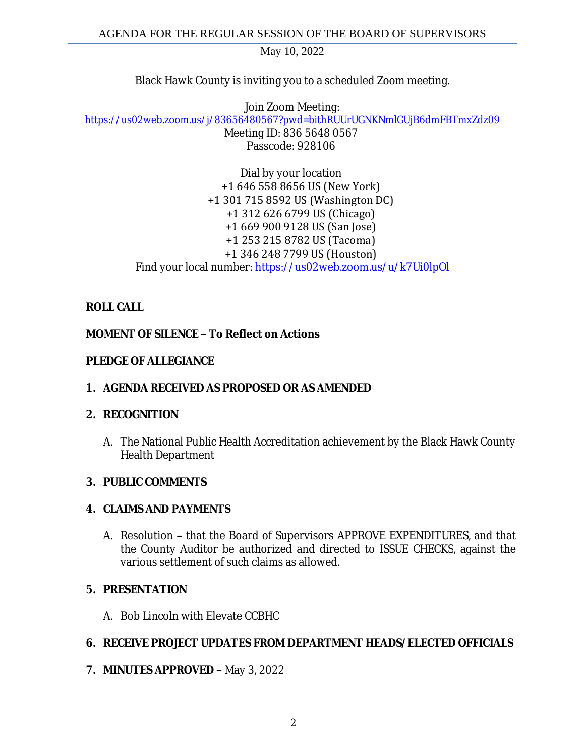Black Hawk County is inviting you to a scheduled Zoom meeting.

Join Zoom Meeting: [https://us02web.zoom.us/j/83656480567?pwd=bithRUUrUGNKNmlGUjB6dmFBTmxZdz09](https://gcc02.safelinks.protection.outlook.com/?url=https%3A%2F%2Fus02web.zoom.us%2Fj%2F83656480567%3Fpwd%3DbithRUUrUGNKNmlGUjB6dmFBTmxZdz09&data=05%7C01%7Ckzwanziger%40blackhawkcounty.iowa.gov%7Caae8bd645f8544ea632608da2dcaba2a%7C9960f5b6faae4bb3a122c43aceeaa06d%7C0%7C0%7C637872645991675307%7CUnknown%7CTWFpbGZsb3d8eyJWIjoiMC4wLjAwMDAiLCJQIjoiV2luMzIiLCJBTiI6Ik1haWwiLCJXVCI6Mn0%3D%7C3000%7C%7C%7C&sdata=9VH60XCVjESkrmiXUU9oJhHM2xz4J91J%2Favam0ldCPY%3D&reserved=0) Meeting ID: 836 5648 0567 Passcode: 928106

> Dial by your location +1 646 558 8656 US (New York) +1 301 715 8592 US (Washington DC) +1 312 626 6799 US (Chicago) +1 669 900 9128 US (San Jose) +1 253 215 8782 US (Tacoma) +1 346 248 7799 US (Houston) Find your local number: [https://us02web.zoom.us/u/k7Ui0lpOl](https://gcc02.safelinks.protection.outlook.com/?url=https%3A%2F%2Fus02web.zoom.us%2Fu%2Fk7Ui0lpOl&data=05%7C01%7Ckzwanziger%40blackhawkcounty.iowa.gov%7Caae8bd645f8544ea632608da2dcaba2a%7C9960f5b6faae4bb3a122c43aceeaa06d%7C0%7C0%7C637872645991675307%7CUnknown%7CTWFpbGZsb3d8eyJWIjoiMC4wLjAwMDAiLCJQIjoiV2luMzIiLCJBTiI6Ik1haWwiLCJXVCI6Mn0%3D%7C3000%7C%7C%7C&sdata=FOsFgTEJ0o%2BltIEl4o9noLgBndKlJCLHZLWBeB7Br9M%3D&reserved=0)

# **ROLL CALL**

# **MOMENT OF SILENCE – To Reflect on Actions**

#### **PLEDGE OF ALLEGIANCE**

# **1. AGENDA RECEIVED AS PROPOSED OR AS AMENDED**

# **2. RECOGNITION**

A. The National Public Health Accreditation achievement by the Black Hawk County Health Department

# **3. PUBLIC COMMENTS**

# **4. CLAIMS AND PAYMENTS**

A. Resolution **–** that the Board of Supervisors APPROVE EXPENDITURES, and that the County Auditor be authorized and directed to ISSUE CHECKS, against the various settlement of such claims as allowed.

# **5. PRESENTATION**

A. Bob Lincoln with Elevate CCBHC

# **6. RECEIVE PROJECT UPDATES FROM DEPARTMENT HEADS/ELECTED OFFICIALS**

**7. MINUTES APPROVED –** May 3, 2022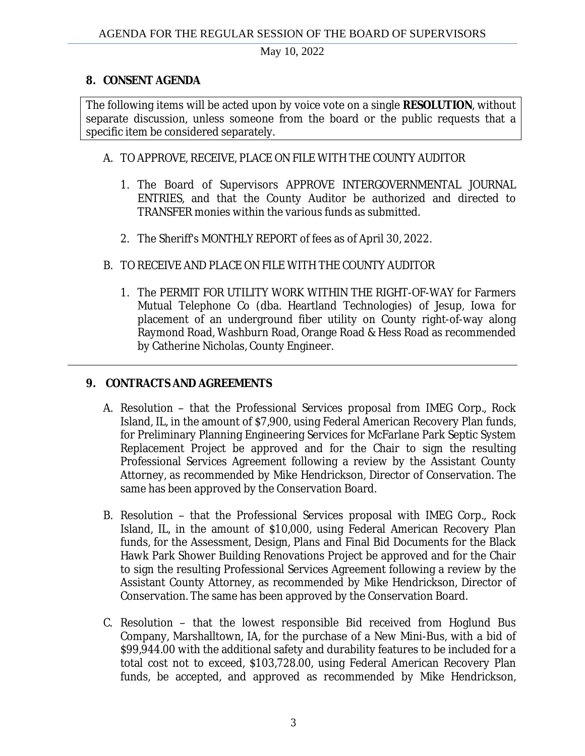#### **8. CONSENT AGENDA**

The following items will be acted upon by voice vote on a single **RESOLUTION**, without separate discussion, unless someone from the board or the public requests that a specific item be considered separately.

#### A. TO APPROVE, RECEIVE, PLACE ON FILE WITH THE COUNTY AUDITOR

- 1. The Board of Supervisors APPROVE INTERGOVERNMENTAL JOURNAL ENTRIES, and that the County Auditor be authorized and directed to TRANSFER monies within the various funds as submitted.
- 2. The Sheriff's MONTHLY REPORT of fees as of April 30, 2022.
- B. TO RECEIVE AND PLACE ON FILE WITH THE COUNTY AUDITOR
	- 1. The PERMIT FOR UTILITY WORK WITHIN THE RIGHT-OF-WAY for Farmers Mutual Telephone Co (dba. Heartland Technologies) of Jesup, Iowa for placement of an underground fiber utility on County right-of-way along Raymond Road, Washburn Road, Orange Road & Hess Road as recommended by Catherine Nicholas, County Engineer.

# **9. CONTRACTS AND AGREEMENTS**

- A. Resolution that the Professional Services proposal from IMEG Corp., Rock Island, IL, in the amount of \$7,900, using Federal American Recovery Plan funds, for Preliminary Planning Engineering Services for McFarlane Park Septic System Replacement Project be approved and for the Chair to sign the resulting Professional Services Agreement following a review by the Assistant County Attorney, as recommended by Mike Hendrickson, Director of Conservation. The same has been approved by the Conservation Board.
- B. Resolution that the Professional Services proposal with IMEG Corp., Rock Island, IL, in the amount of \$10,000, using Federal American Recovery Plan funds, for the Assessment, Design, Plans and Final Bid Documents for the Black Hawk Park Shower Building Renovations Project be approved and for the Chair to sign the resulting Professional Services Agreement following a review by the Assistant County Attorney, as recommended by Mike Hendrickson, Director of Conservation. The same has been approved by the Conservation Board.
- C. Resolution that the lowest responsible Bid received from Hoglund Bus Company, Marshalltown, IA, for the purchase of a New Mini-Bus, with a bid of \$99,944.00 with the additional safety and durability features to be included for a total cost not to exceed, \$103,728.00, using Federal American Recovery Plan funds, be accepted, and approved as recommended by Mike Hendrickson,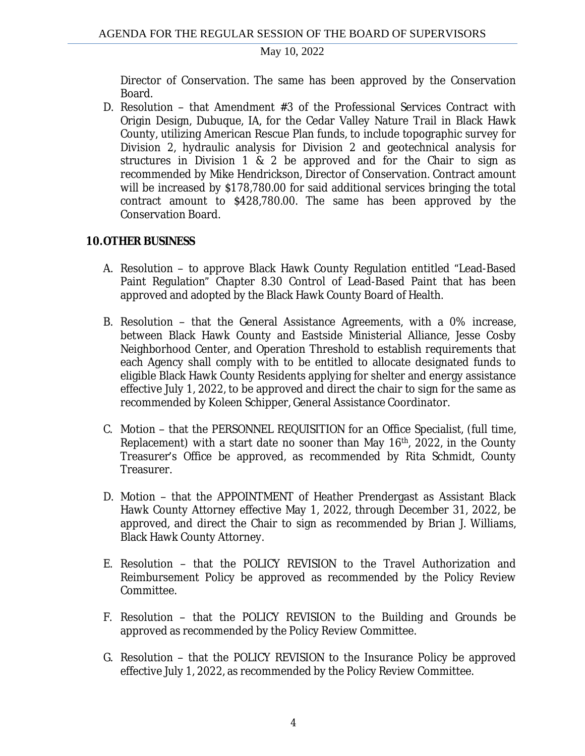Director of Conservation. The same has been approved by the Conservation Board.

D. Resolution – that Amendment #3 of the Professional Services Contract with Origin Design, Dubuque, IA, for the Cedar Valley Nature Trail in Black Hawk County, utilizing American Rescue Plan funds, to include topographic survey for Division 2, hydraulic analysis for Division 2 and geotechnical analysis for structures in Division 1 & 2 be approved and for the Chair to sign as recommended by Mike Hendrickson, Director of Conservation. Contract amount will be increased by \$178,780.00 for said additional services bringing the total contract amount to \$428,780.00. The same has been approved by the Conservation Board.

#### **10.OTHER BUSINESS**

- A. Resolution to approve Black Hawk County Regulation entitled "Lead-Based Paint Regulation" Chapter 8.30 Control of Lead-Based Paint that has been approved and adopted by the Black Hawk County Board of Health*.*
- B. Resolution that the General Assistance Agreements, with a 0% increase, between Black Hawk County and Eastside Ministerial Alliance, Jesse Cosby Neighborhood Center, and Operation Threshold to establish requirements that each Agency shall comply with to be entitled to allocate designated funds to eligible Black Hawk County Residents applying for shelter and energy assistance effective July 1, 2022, to be approved and direct the chair to sign for the same as recommended by Koleen Schipper, General Assistance Coordinator.
- C. Motion that the PERSONNEL REQUISITION for an Office Specialist, (full time, Replacement) with a start date no sooner than May 16<sup>th</sup>, 2022, in the County Treasurer's Office be approved, as recommended by Rita Schmidt, County Treasurer.
- D. Motion that the APPOINTMENT of Heather Prendergast as Assistant Black Hawk County Attorney effective May 1, 2022, through December 31, 2022, be approved, and direct the Chair to sign as recommended by Brian J. Williams, Black Hawk County Attorney.
- E. Resolution that the POLICY REVISION to the Travel Authorization and Reimbursement Policy be approved as recommended by the Policy Review Committee.
- F. Resolution that the POLICY REVISION to the Building and Grounds be approved as recommended by the Policy Review Committee.
- G. Resolution that the POLICY REVISION to the Insurance Policy be approved effective July 1, 2022, as recommended by the Policy Review Committee.